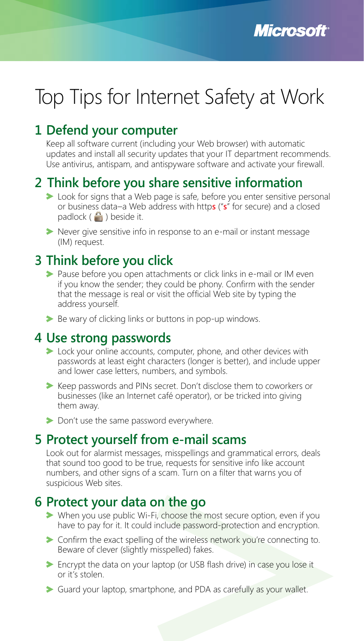# Top Tips for Internet Safety at Work

### **1 Defend your computer**

Keep all software current (including your Web browser) with automatic updates and install all security updates that your IT department recommends. Use antivirus, antispam, and antispyware software and activate your firewall.

### **2 Think before you share sensitive information**

- took for signs that a Web page is safe, before you enter sensitive personal or business data–a Web address with http**s** ("**s**" for secure) and a closed padlock  $\left( \begin{array}{c} \blacksquare \\ \blacksquare \end{array} \right)$  beside it.
- Never give sensitive info in response to an e-mail or instant message (IM) request.

#### **3 Think before you click**

- Pause before you open attachments or click links in e-mail or IM even if you know the sender; they could be phony. Confirm with the sender that the message is real or visit the official Web site by typing the address yourself.
- Be wary of clicking links or buttons in pop-up windows.

#### **4 Use strong passwords**

- **EXEC** Lock your online accounts, computer, phone, and other devices with passwords at least eight characters (longer is better), and include upper and lower case letters, numbers, and symbols.
- Keep passwords and PINs secret. Don't disclose them to coworkers or businesses (like an Internet café operator), or be tricked into giving them away.
- Don't use the same password everywhere.

#### **5 Protect yourself from e-mail scams**

Look out for alarmist messages, misspellings and grammatical errors, deals that sound too good to be true, requests for sensitive info like account numbers, and other signs of a scam. Turn on a filter that warns you of suspicious Web sites.

#### **6 Protect your data on the go**

- When you use public Wi-Fi, choose the most secure option, even if you have to pay for it. It could include password-protection and encryption.
- Confirm the exact spelling of the wireless network you're connecting to. Beware of clever (slightly misspelled) fakes.
- Encrypt the data on your laptop (or USB flash drive) in case you lose it or it's stolen.
- Guard your laptop, smartphone, and PDA as carefully as your wallet.